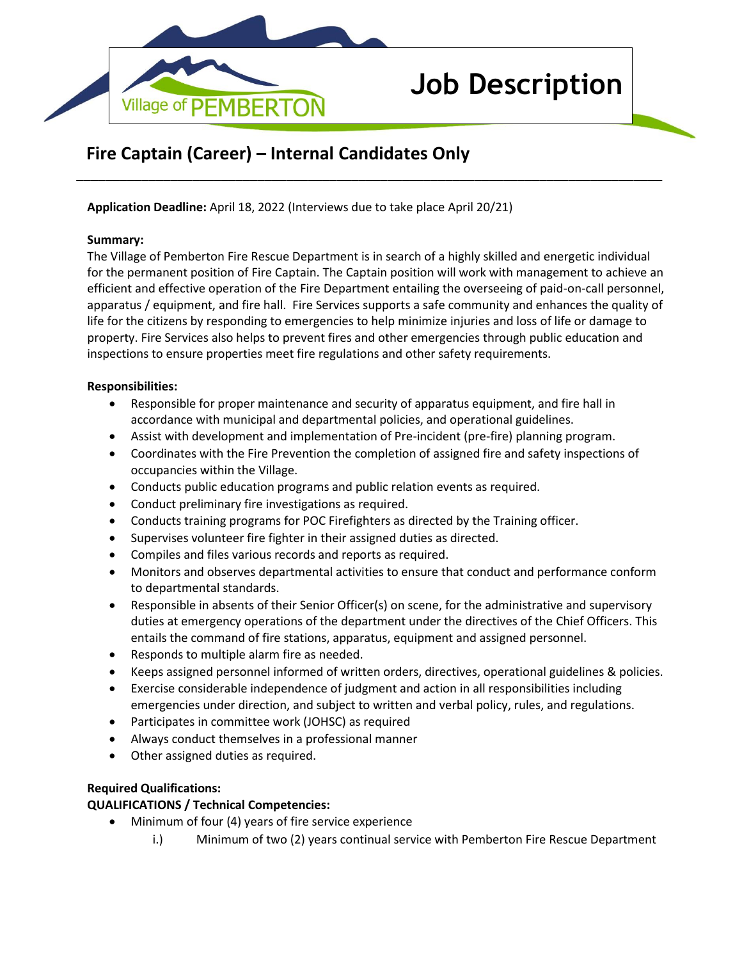

# **Job Description**

# **Fire Captain (Career) – Internal Candidates Only**

**Application Deadline:** April 18, 2022 (Interviews due to take place April 20/21)

## **Summary:**

The Village of Pemberton Fire Rescue Department is in search of a highly skilled and energetic individual for the permanent position of Fire Captain. The Captain position will work with management to achieve an efficient and effective operation of the Fire Department entailing the overseeing of paid-on-call personnel, apparatus / equipment, and fire hall. Fire Services supports a safe community and enhances the quality of life for the citizens by responding to emergencies to help minimize injuries and loss of life or damage to property. Fire Services also helps to prevent fires and other emergencies through public education and inspections to ensure properties meet fire regulations and other safety requirements.

**\_\_\_\_\_\_\_\_\_\_\_\_\_\_\_\_\_\_\_\_\_\_\_\_\_\_\_\_\_\_\_\_\_\_\_\_\_\_\_\_\_\_\_\_\_\_\_\_\_\_\_\_\_\_\_\_\_\_\_\_\_\_\_\_\_\_\_\_\_\_\_\_\_\_\_\_\_\_\_\_\_**

## **Responsibilities:**

- Responsible for proper maintenance and security of apparatus equipment, and fire hall in accordance with municipal and departmental policies, and operational guidelines.
- Assist with development and implementation of Pre-incident (pre-fire) planning program.
- Coordinates with the Fire Prevention the completion of assigned fire and safety inspections of occupancies within the Village.
- Conducts public education programs and public relation events as required.
- Conduct preliminary fire investigations as required.
- Conducts training programs for POC Firefighters as directed by the Training officer.
- Supervises volunteer fire fighter in their assigned duties as directed.
- Compiles and files various records and reports as required.
- Monitors and observes departmental activities to ensure that conduct and performance conform to departmental standards.
- Responsible in absents of their Senior Officer(s) on scene, for the administrative and supervisory duties at emergency operations of the department under the directives of the Chief Officers. This entails the command of fire stations, apparatus, equipment and assigned personnel.
- Responds to multiple alarm fire as needed.
- Keeps assigned personnel informed of written orders, directives, operational guidelines & policies.
- Exercise considerable independence of judgment and action in all responsibilities including emergencies under direction, and subject to written and verbal policy, rules, and regulations.
- Participates in committee work (JOHSC) as required
- Always conduct themselves in a professional manner
- Other assigned duties as required.

## **Required Qualifications:**

# **QUALIFICATIONS / Technical Competencies:**

- Minimum of four (4) years of fire service experience
	- i.) Minimum of two (2) years continual service with Pemberton Fire Rescue Department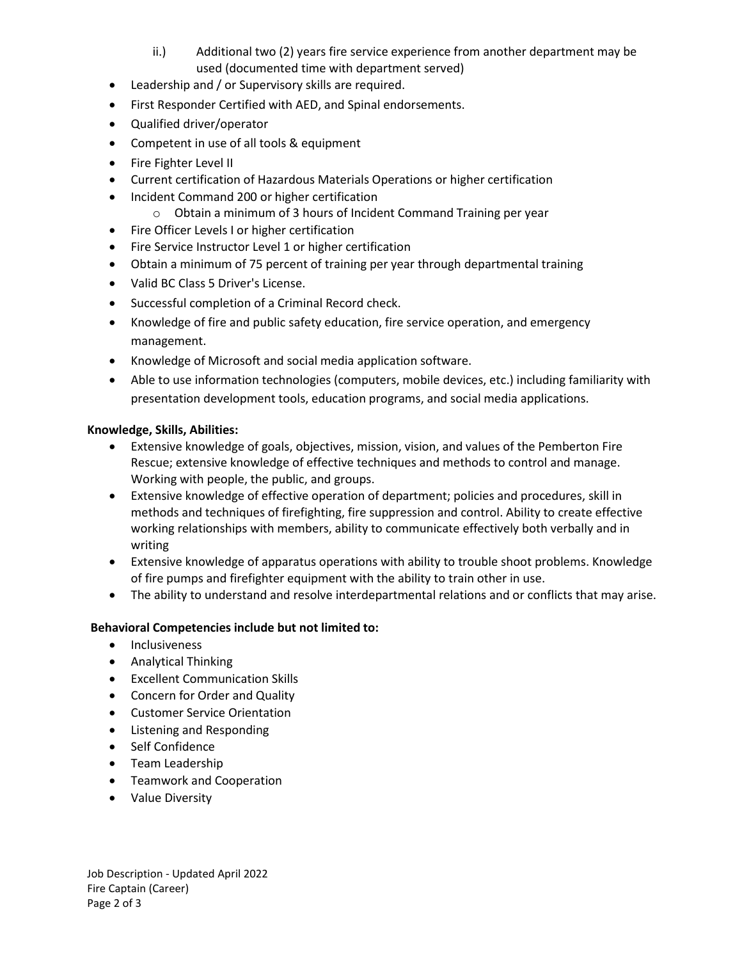- ii.) Additional two (2) years fire service experience from another department may be used (documented time with department served)
- Leadership and / or Supervisory skills are required.
- First Responder Certified with AED, and Spinal endorsements.
- Qualified driver/operator
- Competent in use of all tools & equipment
- Fire Fighter Level II
- Current certification of Hazardous Materials Operations or higher certification
- Incident Command 200 or higher certification
	- o Obtain a minimum of 3 hours of Incident Command Training per year
- Fire Officer Levels I or higher certification
- Fire Service Instructor Level 1 or higher certification
- Obtain a minimum of 75 percent of training per year through departmental training
- Valid BC Class 5 Driver's License.
- Successful completion of a Criminal Record check.
- Knowledge of fire and public safety education, fire service operation, and emergency management.
- Knowledge of Microsoft and social media application software.
- Able to use information technologies (computers, mobile devices, etc.) including familiarity with presentation development tools, education programs, and social media applications.

# **Knowledge, Skills, Abilities:**

- Extensive knowledge of goals, objectives, mission, vision, and values of the Pemberton Fire Rescue; extensive knowledge of effective techniques and methods to control and manage. Working with people, the public, and groups.
- Extensive knowledge of effective operation of department; policies and procedures, skill in methods and techniques of firefighting, fire suppression and control. Ability to create effective working relationships with members, ability to communicate effectively both verbally and in writing
- Extensive knowledge of apparatus operations with ability to trouble shoot problems. Knowledge of fire pumps and firefighter equipment with the ability to train other in use.
- The ability to understand and resolve interdepartmental relations and or conflicts that may arise.

# **Behavioral Competencies include but not limited to:**

- Inclusiveness
- Analytical Thinking
- Excellent Communication Skills
- Concern for Order and Quality
- Customer Service Orientation
- Listening and Responding
- Self Confidence
- Team Leadership
- Teamwork and Cooperation
- Value Diversity

Job Description - Updated April 2022 Fire Captain (Career) Page 2 of 3